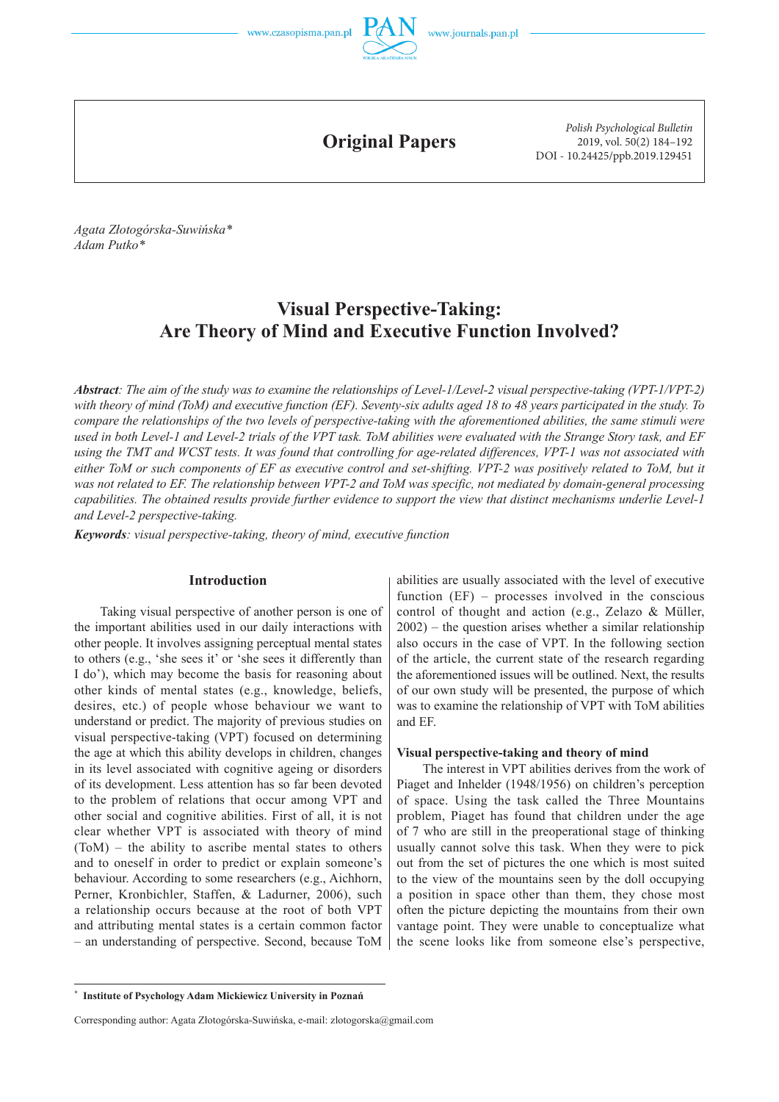

**Original Papers**

*Polish Psychological Bulletin* 2019, vol. 50(2) 184–192 DOI - 10.24425/ppb.2019.129451

*Agata Złotogórska -Suwińska\* Adam Putko\** 

# **Visual Perspective -Taking: Are Theory of Mind and Executive Function Involved?**

*Abstract: The aim of the study was to examine the relationships of Level -1/Level -2 visual perspective -taking (VPT -1/VPT -2) with theory of mind (ToM) and executive function (EF). Seventy -six adults aged 18 to 48 years participated in the study. To compare the relationships of the two levels of perspective -taking with the aforementioned abilities, the same stimuli were used in both Level -1 and Level -2 trials of the VPT task. ToM abilities were evaluated with the Strange Story task, and EF using the TMT and WCST tests. It was found that controlling for age -related differences, VPT -1 was not associated with either ToM or such components of EF as executive control and set -shifting. VPT -2 was positively related to ToM, but it was not related to EF. The relationship between VPT -2 and ToM was specific, not mediated by domain -general processing capabilities. The obtained results provide further evidence to support the view that distinct mechanisms underlie Level -1 and Level -2 perspective -taking.* 

*Keywords: visual perspective -taking, theory of mind, executive function*

## **Introduction**

Taking visual perspective of another person is one of the important abilities used in our daily interactions with other people. It involves assigning perceptual mental states to others (e.g., 'she sees it' or 'she sees it differently than I do'), which may become the basis for reasoning about other kinds of mental states (e.g., knowledge, beliefs, desires, etc.) of people whose behaviour we want to understand or predict. The majority of previous studies on visual perspective -taking (VPT) focused on determining the age at which this ability develops in children, changes in its level associated with cognitive ageing or disorders of its development. Less attention has so far been devoted to the problem of relations that occur among VPT and other social and cognitive abilities. First of all, it is not clear whether VPT is associated with theory of mind (ToM) – the ability to ascribe mental states to others and to oneself in order to predict or explain someone's behaviour. According to some researchers (e.g., Aichhorn, Perner, Kronbichler, Staffen, & Ladurner, 2006), such a relationship occurs because at the root of both VPT and attributing mental states is a certain common factor – an understanding of perspective. Second, because ToM

abilities are usually associated with the level of executive function (EF) – processes involved in the conscious control of thought and action (e.g., Zelazo & Müller, 2002) – the question arises whether a similar relationship also occurs in the case of VPT. In the following section of the article, the current state of the research regarding the aforementioned issues will be outlined. Next, the results of our own study will be presented, the purpose of which was to examine the relationship of VPT with ToM abilities and EF.

## **Visual perspective -taking and theory of mind**

The interest in VPT abilities derives from the work of Piaget and Inhelder (1948/1956) on children's perception of space. Using the task called the Three Mountains problem, Piaget has found that children under the age of 7 who are still in the preoperational stage of thinking usually cannot solve this task. When they were to pick out from the set of pictures the one which is most suited to the view of the mountains seen by the doll occupying a position in space other than them, they chose most often the picture depicting the mountains from their own vantage point. They were unable to conceptualize what the scene looks like from someone else's perspective,

**<sup>\*</sup> Institute of Psychology Adam Mickiewicz University in Poznań**

Corresponding author: Agata Złotogórska-Suwińska, e-mail: zlotogorska@gmail.com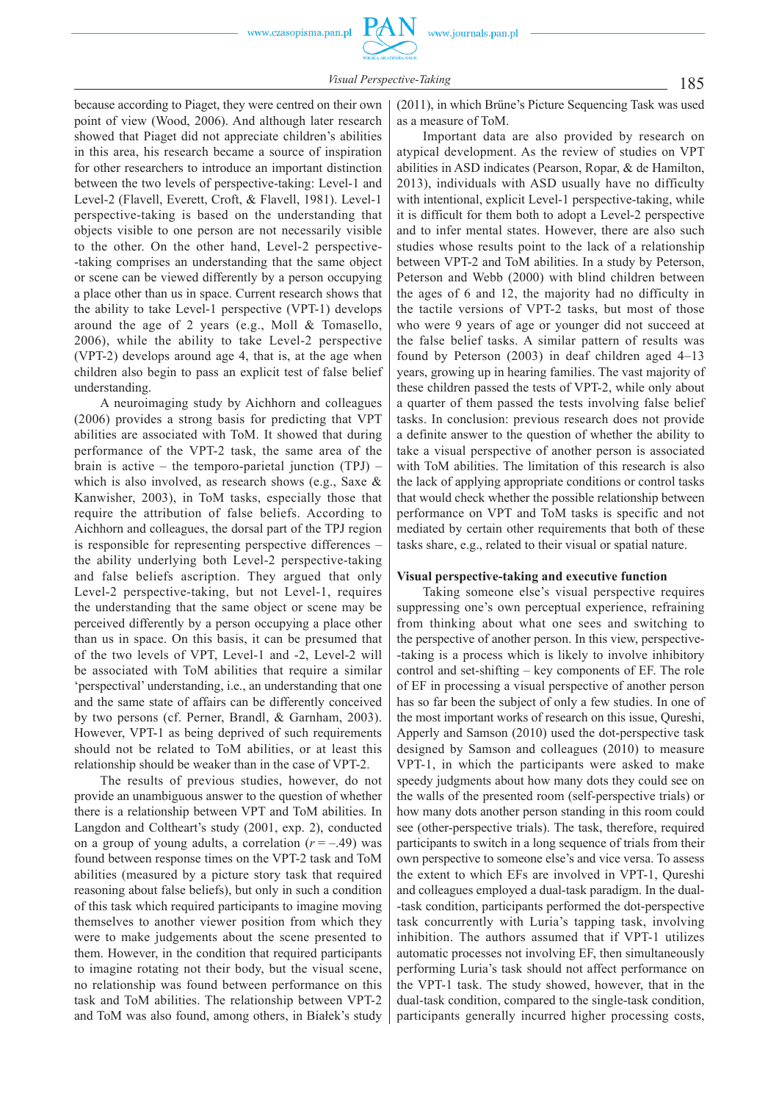185 *Visual Perspective -Taking*

because according to Piaget, they were centred on their own point of view (Wood, 2006). And although later research showed that Piaget did not appreciate children's abilities in this area, his research became a source of inspiration for other researchers to introduce an important distinction between the two levels of perspective -taking: Level-1 and Level-2 (Flavell, Everett, Croft, & Flavell, 1981). Level-1 perspective -taking is based on the understanding that objects visible to one person are not necessarily visible to the other. On the other hand, Level-2 perspective--taking comprises an understanding that the same object or scene can be viewed differently by a person occupying a place other than us in space. Current research shows that the ability to take Level-1 perspective  $(VPT-1)$  develops around the age of 2 years (e.g., Moll  $&$  Tomasello, 2006), while the ability to take Level-2 perspective  $(VPT-2)$  develops around age 4, that is, at the age when children also begin to pass an explicit test of false belief understanding.

A neuroimaging study by Aichhorn and colleagues (2006) provides a strong basis for predicting that VPT abilities are associated with ToM. It showed that during performance of the VPT-2 task, the same area of the brain is active – the temporo-parietal junction  $(TPI)$  – which is also involved, as research shows (e.g., Saxe & Kanwisher, 2003), in ToM tasks, especially those that require the attribution of false beliefs. According to Aichhorn and colleagues, the dorsal part of the TPJ region is responsible for representing perspective differences – the ability underlying both Level -2 perspective -taking and false beliefs ascription. They argued that only Level-2 perspective-taking, but not Level-1, requires the understanding that the same object or scene may be perceived differently by a person occupying a place other than us in space. On this basis, it can be presumed that of the two levels of VPT, Level-1 and -2, Level-2 will be associated with ToM abilities that require a similar 'perspectival' understanding, i.e., an understanding that one and the same state of affairs can be differently conceived by two persons (cf. Perner, Brandl, & Garnham, 2003). However, VPT-1 as being deprived of such requirements should not be related to ToM abilities, or at least this relationship should be weaker than in the case of VPT-2.

The results of previous studies, however, do not provide an unambiguous answer to the question of whether there is a relationship between VPT and ToM abilities. In Langdon and Coltheart's study (2001, exp. 2), conducted on a group of young adults, a correlation  $(r = -0.49)$  was found between response times on the VPT-2 task and ToM abilities (measured by a picture story task that required reasoning about false beliefs), but only in such a condition of this task which required participants to imagine moving themselves to another viewer position from which they were to make judgements about the scene presented to them. However, in the condition that required participants to imagine rotating not their body, but the visual scene, no relationship was found between performance on this task and ToM abilities. The relationship between VPT -2 and ToM was also found, among others, in Białek's study

(2011), in which Brüne's Picture Sequencing Task was used as a measure of ToM.

Important data are also provided by research on atypical development. As the review of studies on VPT abilities in ASD indicates (Pearson, Ropar, & de Hamilton, 2013), individuals with ASD usually have no difficulty with intentional, explicit Level-1 perspective-taking, while it is difficult for them both to adopt a Level -2 perspective and to infer mental states. However, there are also such studies whose results point to the lack of a relationship between VPT-2 and ToM abilities. In a study by Peterson, Peterson and Webb (2000) with blind children between the ages of 6 and 12, the majority had no difficulty in the tactile versions of VPT-2 tasks, but most of those who were 9 years of age or younger did not succeed at the false belief tasks. A similar pattern of results was found by Peterson (2003) in deaf children aged 4–13 years, growing up in hearing families. The vast majority of these children passed the tests of VPT-2, while only about a quarter of them passed the tests involving false belief tasks. In conclusion: previous research does not provide a definite answer to the question of whether the ability to take a visual perspective of another person is associated with ToM abilities. The limitation of this research is also the lack of applying appropriate conditions or control tasks that would check whether the possible relationship between performance on VPT and ToM tasks is specific and not mediated by certain other requirements that both of these tasks share, e.g., related to their visual or spatial nature.

### **Visual perspective -taking and executive function**

Taking someone else's visual perspective requires suppressing one's own perceptual experience, refraining from thinking about what one sees and switching to the perspective of another person. In this view, perspective- -taking is a process which is likely to involve inhibitory control and set -shifting – key components of EF. The role of EF in processing a visual perspective of another person has so far been the subject of only a few studies. In one of the most important works of research on this issue , Qureshi, Apperly and Samson (2010) used the dot -perspective task designed by Samson and colleagues (2010) to measure VPT-1, in which the participants were asked to make speedy judgments about how many dots they could see on the walls of the presented room (self -perspective trials) or how many dots another person standing in this room could see (other-perspective trials). The task, therefore, required participants to switch in a long sequence of trials from their own perspective to someone else's and vice versa. To assess the extent to which EFs are involved in VPT-1, Qureshi and colleagues employed a dual-task paradigm. In the dual--task condition, participants performed the dot -perspective task concurrently with Luria's tapping task, involving inhibition. The authors assumed that if VPT-1 utilizes automatic processes not involving EF, then simultaneously performing Luria's task should not affect performance on the VPT-1 task. The study showed, however, that in the dual -task condition, compared to the single -task condition, participants generally incurred higher processing costs,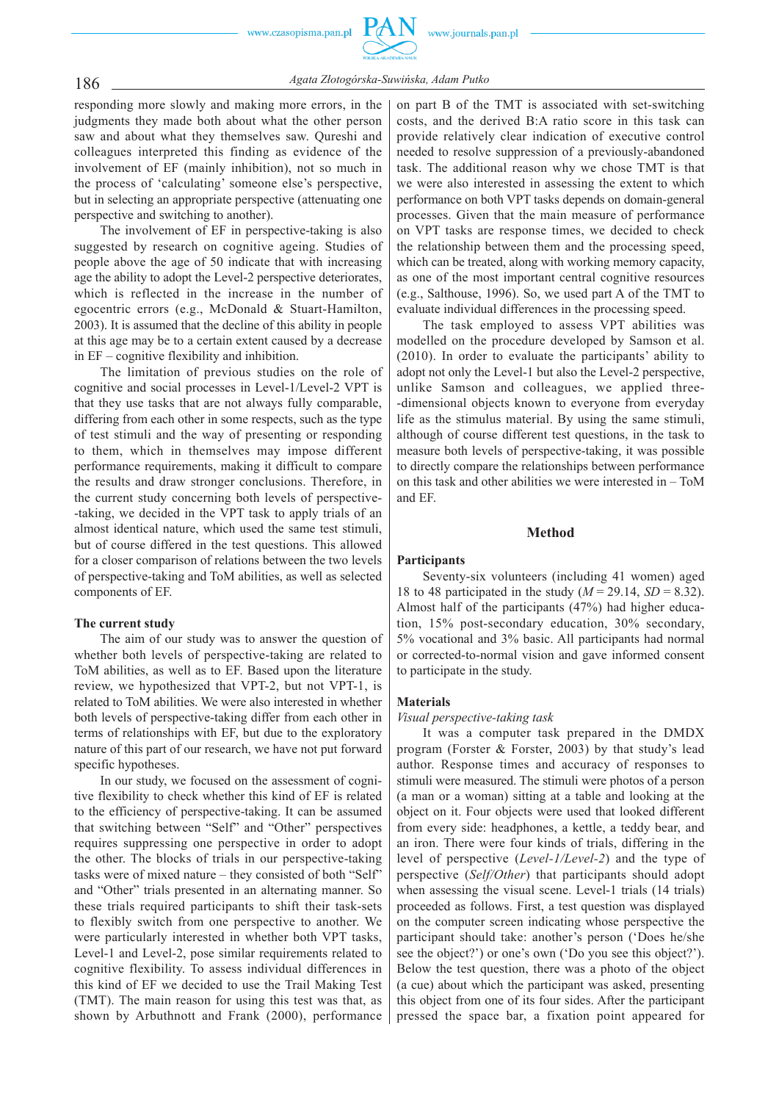

186 *Agata Złotogórska -Suwińska, Adam Putko*

responding more slowly and making more errors, in the judgments they made both about what the other person saw and about what they themselves saw. Qureshi and colleagues interpreted this finding as evidence of the involvement of EF (mainly inhibition), not so much in the process of 'calculating' someone else's perspective, but in selecting an appropriate perspective (attenuating one perspective and switching to another).

The involvement of EF in perspective-taking is also suggested by research on cognitive ageing. Studies of people above the age of 50 indicate that with increasing age the ability to adopt the Level-2 perspective deteriorates, which is reflected in the increase in the number of egocentric errors (e.g., McDonald & Stuart -Hamilton, 2003). It is assumed that the decline of this ability in people at this age may be to a certain extent caused by a decrease in EF – cognitive flexibility and inhibition.

The limitation of previous studies on the role of cognitive and social processes in Level-1/Level-2 VPT is that they use tasks that are not always fully comparable, differing from each other in some respects, such as the type of test stimuli and the way of presenting or responding to them, which in themselves may impose different performance requirements, making it difficult to compare the results and draw stronger conclusions. Therefore, in the current study concerning both levels of perspective- -taking, we decided in the VPT task to apply trials of an almost identical nature, which used the same test stimuli, but of course differed in the test questions. This allowed for a closer comparison of relations between the two levels of perspective -taking and ToM abilities, as well as selected components of EF.

## **The current study**

The aim of our study was to answer the question of whether both levels of perspective -taking are related to ToM abilities, as well as to EF. Based upon the literature review, we hypothesized that VPT-2, but not VPT-1, is related to ToM abilities. We were also interested in whether both levels of perspective -taking differ from each other in terms of relationships with EF, but due to the exploratory nature of this part of our research, we have not put forward specific hypotheses.

In our study, we focused on the assessment of cognitive flexibility to check whether this kind of EF is related to the efficiency of perspective -taking. It can be assumed that switching between "Self" and "Other" perspectives requires suppressing one perspective in order to adopt the other. The blocks of trials in our perspective -taking tasks were of mixed nature – they consisted of both "Self" and "Other" trials presented in an alternating manner. So these trials required participants to shift their task -sets to flexibly switch from one perspective to another. We were particularly interested in whether both VPT tasks, Level-1 and Level-2, pose similar requirements related to cognitive flexibility. To assess individual differences in this kind of EF we decided to use the Trail Making Test (TMT). The main reason for using this test was that, as shown by Arbuthnott and Frank (2000), performance

on part B of the TMT is associated with set -switching costs, and the derived B:A ratio score in this task can provide relatively clear indication of executive control needed to resolve suppression of a previously -abandoned task. The additional reason why we chose TMT is that we were also interested in assessing the extent to which performance on both VPT tasks depends on domain -general processes. Given that the main measure of performance on VPT tasks are response times, we decided to check the relationship between them and the processing speed, which can be treated, along with working memory capacity, as one of the most important central cognitive resources (e.g., Salthouse, 1996). So, we used part A of the TMT to evaluate individual differences in the processing speed.

The task employed to assess VPT abilities was modelled on the procedure developed by Samson et al. (2010). In order to evaluate the participants' ability to adopt not only the Level-1 but also the Level-2 perspective, unlike Samson and colleagues, we applied three- -dimensional objects known to everyone from everyday life as the stimulus material. By using the same stimuli, although of course different test questions, in the task to measure both levels of perspective -taking, it was possible to directly compare the relationships between performance on this task and other abilities we were interested in – ToM and EF.

## **Method**

### **Participants**

Seventy-six volunteers (including 41 women) aged 18 to 48 participated in the study  $(M = 29.14, SD = 8.32)$ . Almost half of the participants (47%) had higher education, 15% post -secondary education, 30% secondary, 5% vocational and 3% basic. All participants had normal or corrected -to -normal vision and gave informed consent to participate in the study.

## **Materials**

### *Visual perspective -taking task*

It was a computer task prepared in the DMDX program (Forster & Forster, 2003) by that study's lead author. Response times and accuracy of responses to stimuli were measured. The stimuli were photos of a person (a man or a woman) sitting at a table and looking at the object on it. Four objects were used that looked different from every side: headphones, a kettle, a teddy bear, and an iron. There were four kinds of trials, differing in the level of perspective (*Level -1/Level -2*) and the type of perspective (*Self/Other*) that participants should adopt when assessing the visual scene. Level-1 trials (14 trials) proceeded as follows. First, a test question was displayed on the computer screen indicating whose perspective the participant should take: another's person ('Does he/she see the object?') or one's own ('Do you see this object?'). Below the test question, there was a photo of the object (a cue) about which the participant was asked, presenting this object from one of its four sides. After the participant pressed the space bar, a fixation point appeared for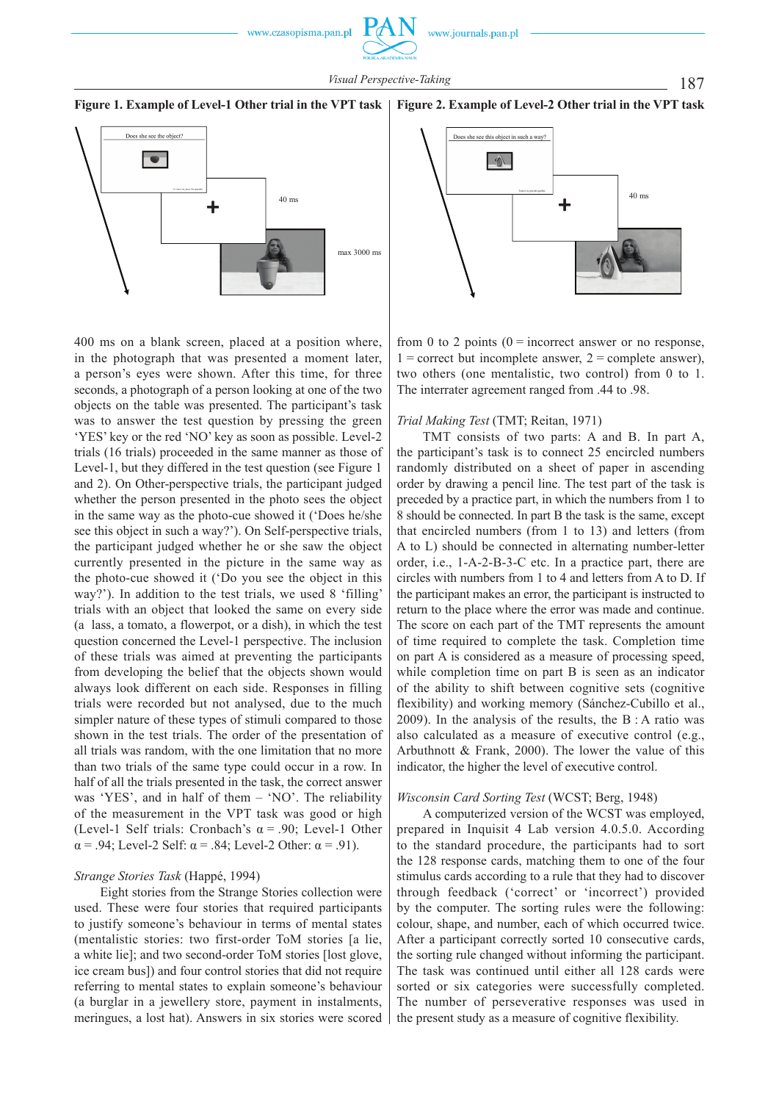187 *Visual Perspective -Taking*





400 ms on a blank screen, placed at a position where, in the photograph that was presented a moment later, a person's eyes were shown. After this time, for three seconds, a photograph of a person looking at one of the two objects on the table was presented. The participant's task was to answer the test question by pressing the green 'YES' key or the red 'NO' key as soon as possible. Level-2 trials (16 trials) proceeded in the same manner as those of Level-1, but they differed in the test question (see Figure 1 and 2). On Other -perspective trials, the participant judged whether the person presented in the photo sees the object in the same way as the photo -cue showed it ('Does he/she see this object in such a way?'). On Self-perspective trials, the participant judged whether he or she saw the object currently presented in the picture in the same way as the photo -cue showed it ('Do you see the object in this way?'). In addition to the test trials, we used 8 'filling' trials with an object that looked the same on every side (a lass, a tomato, a flowerpot, or a dish), in which the test question concerned the Level-1 perspective. The inclusion of these trials was aimed at preventing the participants from developing the belief that the objects shown would always look different on each side. Responses in filling trials were recorded but not analysed, due to the much simpler nature of these types of stimuli compared to those shown in the test trials. The order of the presentation of all trials was random, with the one limitation that no more than two trials of the same type could occur in a row. In half of all the trials presented in the task, the correct answer was 'YES', and in half of them – 'NO'. The reliability of the measurement in the VPT task was good or high (Level-1 Self trials: Cronbach's  $\alpha$  = .90; Level-1 Other  $\alpha$  = .94; Level-2 Self:  $\alpha$  = .84; Level-2 Other:  $\alpha$  = .91).

## *Strange Stories Task* (Happé, 1994)

Eight stories from the Strange Stories collection were used. These were four stories that required participants to justify someone's behaviour in terms of mental states (mentalistic stories: two first -order ToM stories [a lie, a white lie]; and two second -order ToM stories [lost glove, ice cream bus]) and four control stories that did not require referring to mental states to explain someone's behaviour (a burglar in a jewellery store, payment in instalments, meringues, a lost hat). Answers in six stories were scored



from 0 to 2 points  $(0 =$  incorrect answer or no response,  $1 =$  correct but incomplete answer,  $2 =$  complete answer), two others (one mentalistic, two control) from 0 to 1. The interrater agreement ranged from .44 to .98.

### *Trial Making Test* (TMT; Reitan, 1971)

TMT consists of two parts: A and B. In part A, the participant's task is to connect 25 encircled numbers randomly distributed on a sheet of paper in ascending order by drawing a pencil line. The test part of the task is preceded by a practice part, in which the numbers from 1 to 8 should be connected. In part B the task is the same, except that encircled numbers (from 1 to 13) and letters (from A to L) should be connected in alternating number -letter order, i.e.,  $1-A-2-B-3-C$  etc. In a practice part, there are circles with numbers from 1 to 4 and letters from A to D. If the participant makes an error, the participant is instructed to return to the place where the error was made and continue. The score on each part of the TMT represents the amount of time required to complete the task. Completion time on part A is considered as a measure of processing speed, while completion time on part B is seen as an indicator of the ability to shift between cognitive sets (cognitive flexibility) and working memory (Sánchez-Cubillo et al., 2009). In the analysis of the results, the  $B : A$  ratio was also calculated as a measure of executive control (e.g., Arbuthnott & Frank, 2000). The lower the value of this indicator, the higher the level of executive control.

### *Wisconsin Card Sorting Test* (WCST; Berg, 1948)

A computerized version of the WCST was employed, prepared in Inquisit 4 Lab version 4.0.5.0. According to the standard procedure, the participants had to sort the 128 response cards, matching them to one of the four stimulus cards according to a rule that they had to discover through feedback ('correct' or 'incorrect') provided by the computer. The sorting rules were the following: colour, shape, and number, each of which occurred twice. After a participant correctly sorted 10 consecutive cards, the sorting rule changed without informing the participant. The task was continued until either all 128 cards were sorted or six categories were successfully completed. The number of perseverative responses was used in the present study as a measure of cognitive flexibility.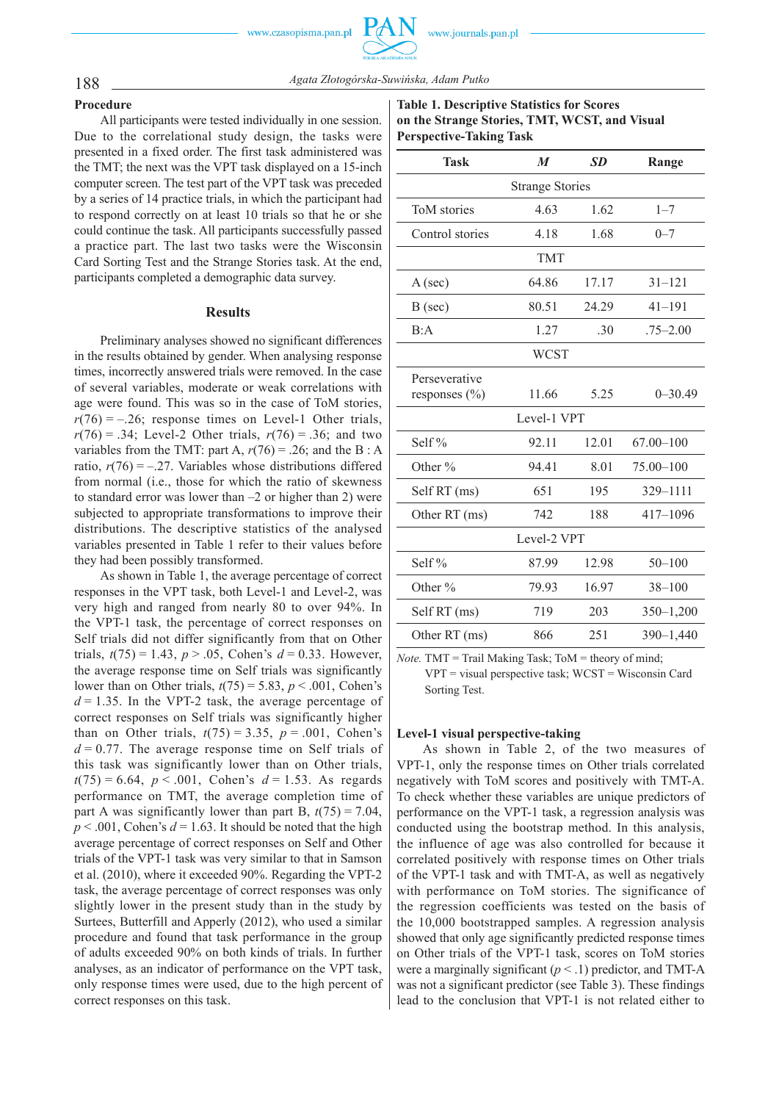## 188 *Agata Złotogórska -Suwińska, Adam Putko*

### **Procedure**

All participants were tested individually in one session. Due to the correlational study design, the tasks were presented in a fixed order. The first task administered was the TMT; the next was the VPT task displayed on a 15 -inch computer screen. The test part of the VPT task was preceded by a series of 14 practice trials, in which the participant had to respond correctly on at least 10 trials so that he or she could continue the task. All participants successfully passed a practice part. The last two tasks were the Wisconsin Card Sorting Test and the Strange Stories task. At the end, participants completed a demographic data survey.

### **Results**

Preliminary analyses showed no significant differences in the results obtained by gender. When analysing response times, incorrectly answered trials were removed. In the case of several variables, moderate or weak correlations with age were found. This was so in the case of ToM stories,  $r(76) = -.26$ ; response times on Level-1 Other trials,  $r(76) = .34$ ; Level-2 Other trials,  $r(76) = .36$ ; and two variables from the TMT: part A,  $r(76) = .26$ ; and the B : A ratio,  $r(76) = -.27$ . Variables whose distributions differed from normal (i.e., those for which the ratio of skewness to standard error was lower than –2 or higher than 2) were subjected to appropriate transformations to improve their distributions. The descriptive statistics of the analysed variables presented in Table 1 refer to their values before they had been possibly transformed.

As shown in Table 1, the average percentage of correct responses in the VPT task, both Level-1 and Level-2, was very high and ranged from nearly 80 to over 94%. In the VPT-1 task, the percentage of correct responses on Self trials did not differ significantly from that on Other trials,  $t(75) = 1.43$ ,  $p > .05$ , Cohen's  $d = 0.33$ . However, the average response time on Self trials was significantly lower than on Other trials,  $t(75) = 5.83$ ,  $p < .001$ , Cohen's  $d = 1.35$ . In the VPT-2 task, the average percentage of correct responses on Self trials was significantly higher than on Other trials,  $t(75) = 3.35$ ,  $p = .001$ , Cohen's  $d = 0.77$ . The average response time on Self trials of this task was significantly lower than on Other trials,  $t(75) = 6.64$ ,  $p < .001$ , Cohen's  $d = 1.53$ . As regards performance on TMT, the average completion time of part A was significantly lower than part B,  $t(75) = 7.04$ ,  $p < .001$ , Cohen's  $d = 1.63$ . It should be noted that the high average percentage of correct responses on Self and Other trials of the VPT -1 task was very similar to that in Samson et al. (2010), where it exceeded 90%. Regarding the VPT-2 task, the average percentage of correct responses was only slightly lower in the present study than in the study by Surtees, Butterfill and Apperly (2012), who used a similar procedure and found that task performance in the group of adults exceeded 90% on both kinds of trials. In further analyses, as an indicator of performance on the VPT task, only response times were used, due to the high percent of correct responses on this task.

**Table 1. Descriptive Statistics for Scores on the Strange Stories, TMT, WCST, and Visual Perspective -Taking Task**

| $\boldsymbol{M}$       | <b>SD</b> | Range         |  |  |  |  |  |  |
|------------------------|-----------|---------------|--|--|--|--|--|--|
| <b>Strange Stories</b> |           |               |  |  |  |  |  |  |
| 4.63                   | 1.62      | $1 - 7$       |  |  |  |  |  |  |
| 4.18                   | 1.68      | $0 - 7$       |  |  |  |  |  |  |
| <b>TMT</b>             |           |               |  |  |  |  |  |  |
| 6486                   | 17.17     | $31 - 121$    |  |  |  |  |  |  |
| 80.51                  | 24.29     | $41 - 191$    |  |  |  |  |  |  |
| 1.27                   | .30       | $.75 - 2.00$  |  |  |  |  |  |  |
| <b>WCST</b>            |           |               |  |  |  |  |  |  |
| 11.66                  | 5.25      | $0 - 30.49$   |  |  |  |  |  |  |
| Level-1 VPT            |           |               |  |  |  |  |  |  |
| 92.11                  | 12.01     | $67.00 - 100$ |  |  |  |  |  |  |
| 94.41                  | 8.01      | 75.00-100     |  |  |  |  |  |  |
| 651                    | 195       | 329-1111      |  |  |  |  |  |  |
| 742                    | 188       | 417-1096      |  |  |  |  |  |  |
| Level-2 VPT            |           |               |  |  |  |  |  |  |
| 87.99                  | 12.98     | $50 - 100$    |  |  |  |  |  |  |
| 79.93                  | 16.97     | $38 - 100$    |  |  |  |  |  |  |
| 719                    | 203       | $350 - 1,200$ |  |  |  |  |  |  |
| 866                    | 251       | $390 - 1,440$ |  |  |  |  |  |  |
|                        |           |               |  |  |  |  |  |  |

*Note.* TMT = Trail Making Task; ToM = theory of mind; VPT = visual perspective task; WCST = Wisconsin Card Sorting Test.

## **Level -1 visual perspective -taking**

As shown in Table 2, of the two measures of VPT-1, only the response times on Other trials correlated negatively with ToM scores and positively with TMT-A. To check whether these variables are unique predictors of performance on the VPT-1 task, a regression analysis was conducted using the bootstrap method. In this analysis, the influence of age was also controlled for because it correlated positively with response times on Other trials of the VPT-1 task and with TMT-A, as well as negatively with performance on ToM stories. The significance of the regression coefficients was tested on the basis of the 10,000 bootstrapped samples. A regression analysis showed that only age significantly predicted response times on Other trials of the VPT-1 task, scores on ToM stories were a marginally significant  $(p < 0.1)$  predictor, and TMT-A was not a significant predictor (see Table 3). These findings lead to the conclusion that VPT -1 is not related either to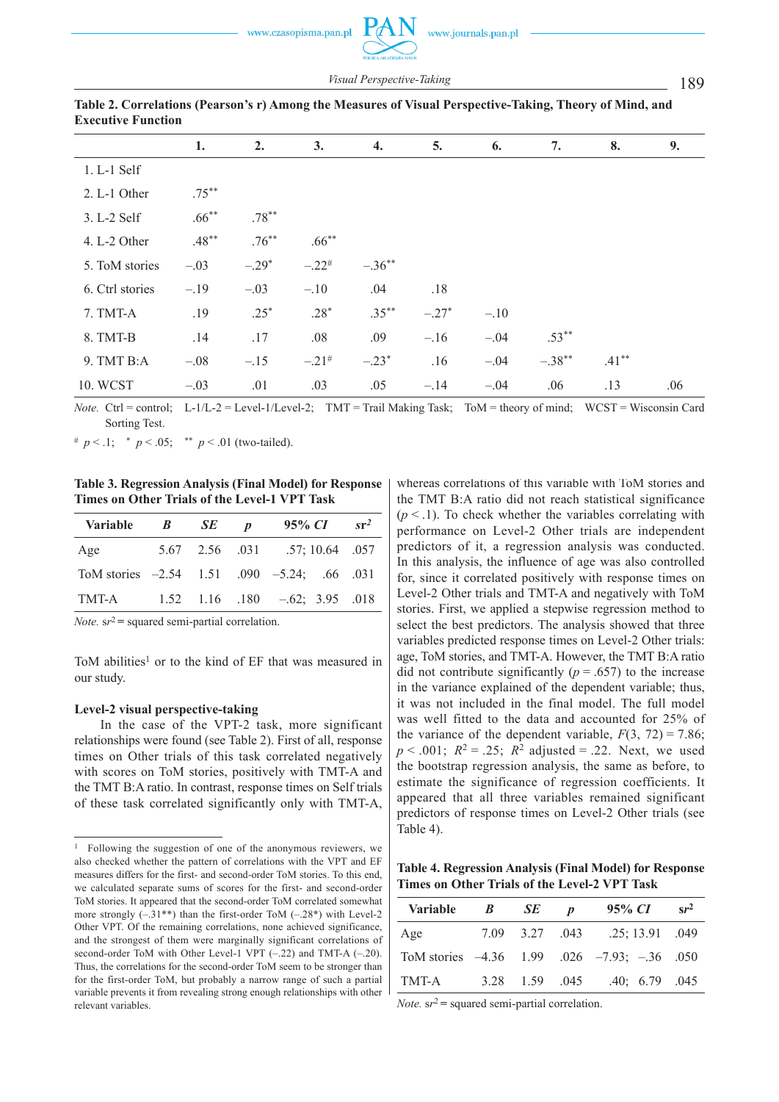www.journals.pan.pl

189 *Visual Perspective -Taking*

|                 | 1.       | 2.       | 3.                  | 4.        | 5.      | 6.     | 7.        | 8.       | 9.  |
|-----------------|----------|----------|---------------------|-----------|---------|--------|-----------|----------|-----|
| 1. L-1 Self     |          |          |                     |           |         |        |           |          |     |
| 2. L-1 Other    | $.75***$ |          |                     |           |         |        |           |          |     |
| 3. L-2 Self     | $.66***$ | $.78***$ |                     |           |         |        |           |          |     |
| 4. L-2 Other    | $.48***$ | $.76***$ | $.66***$            |           |         |        |           |          |     |
| 5. ToM stories  | $-.03$   | $-.29*$  | $-.22$ <sup>#</sup> | $-.36***$ |         |        |           |          |     |
| 6. Ctrl stories | $-.19$   | $-.03$   | $-.10$              | .04       | .18     |        |           |          |     |
| 7. TMT-A        | .19      | $.25*$   | $.28*$              | $.35***$  | $-.27*$ | $-.10$ |           |          |     |
| 8. TMT-B        | .14      | .17      | .08                 | .09       | $-.16$  | $-.04$ | $.53***$  |          |     |
| 9. TMT B:A      | $-.08$   | $-.15$   | $-.21$ <sup>#</sup> | $-.23*$   | .16     | $-.04$ | $-.38***$ | $.41***$ |     |
| 10. WCST        | $-.03$   | .01      | .03                 | .05       | $-.14$  | $-.04$ | .06       | .13      | .06 |

| Table 2. Correlations (Pearson's r) Among the Measures of Visual Perspective-Taking, Theory of Mind, and |  |
|----------------------------------------------------------------------------------------------------------|--|
| <b>Executive Function</b>                                                                                |  |

*Note.* Ctrl = control; L-1/L-2 = Level-1/Level-2; TMT = Trail Making Task; ToM = theory of mind; WCST = Wisconsin Card Sorting Test.

 $\# p \lt 0.1$ ;  $\# p \lt 0.05$ ;  $\# p \lt 0.01$  (two-tailed).

**Table 3. Regression Analysis (Final Model) for Response Times on Other Trials of the Level-1 VPT Task** 

| Variable <i>B SE p</i> |  | $95\%$ CI                                   | $sr^2$ |
|------------------------|--|---------------------------------------------|--------|
| Age                    |  | 5.67 2.56 .031 .57; 10.64 .057              |        |
|                        |  | ToM stories -2.54 1.51 .090 -5.24; .66 .031 |        |
| TMT-A                  |  | $1.52$ $1.16$ $.180$ $-.62$ ; $3.95$ $.018$ |        |

*Note.*  $sr^2$  = squared semi-partial correlation.

ToM abilities<sup>1</sup> or to the kind of EF that was measured in our study.

### **Level -2 visual perspective -taking**

In the case of the VPT-2 task, more significant relationships were found (see Table 2). First of all, response times on Other trials of this task correlated negatively with scores on ToM stories, positively with TMT-A and the TMT B: A ratio. In contrast, response times on Self trials of these task correlated significantly only with TMT-A,

whereas correlations of this variable with ToM stories and the TMT B:A ratio did not reach statistical significance  $(p < 1)$ . To check whether the variables correlating with performance on Level-2 Other trials are independent predictors of it, a regression analysis was conducted. In this analysis, the influence of age was also controlled for, since it correlated positively with response times on Level-2 Other trials and TMT-A and negatively with ToM stories. First, we applied a stepwise regression method to select the best predictors. The analysis showed that three variables predicted response times on Level-2 Other trials: age, ToM stories, and TMT -A. However, the TMT B:A ratio did not contribute significantly ( $p = .657$ ) to the increase in the variance explained of the dependent variable; thus, it was not included in the final model. The full model was well fitted to the data and accounted for 25% of the variance of the dependent variable,  $F(3, 72) = 7.86$ ;  $p < .001$ ;  $R^2 = .25$ ;  $R^2$  adjusted = .22. Next, we used the bootstrap regression analysis, the same as before, to estimate the significance of regression coefficients. It appeared that all three variables remained significant predictors of response times on Level-2 Other trials (see Table 4).

**Table 4. Regression Analysis (Final Model) for Response Times on Other Trials of the Level -2 VPT Task**

| <b>Variable</b> | $\boldsymbol{B}$ | $SE$ <i>p</i> | $95\%$ CI                                          | $sr^2$ |
|-----------------|------------------|---------------|----------------------------------------------------|--------|
| Age             |                  |               | 7.09 3.27 .043 .25; 13.91 .049                     |        |
|                 |                  |               | ToM stories $-4.36$ 1.99 .026 $-7.93$ ; $-36$ .050 |        |
| TMT-A           |                  |               | 3.28 1.59 .045 .40; 6.79 .045                      |        |

*Note.*  $sr^2$  = squared semi-partial correlation.

<sup>&</sup>lt;sup>1</sup> Following the suggestion of one of the anonymous reviewers, we also checked whether the pattern of correlations with the VPT and EF measures differs for the first- and second-order ToM stories. To this end, we calculated separate sums of scores for the first- and second-order ToM stories. It appeared that the second-order ToM correlated somewhat more strongly  $(-.31^{**})$  than the first-order ToM  $(-.28^*)$  with Level-2 Other VPT. Of the remaining correlations, none achieved significance, and the strongest of them were marginally significant correlations of second-order ToM with Other Level-1 VPT  $(-.22)$  and TMT-A  $(-.20)$ . Thus, the correlations for the second-order ToM seem to be stronger than for the first-order ToM, but probably a narrow range of such a partial variable prevents it from revealing strong enough relationships with other relevant variables.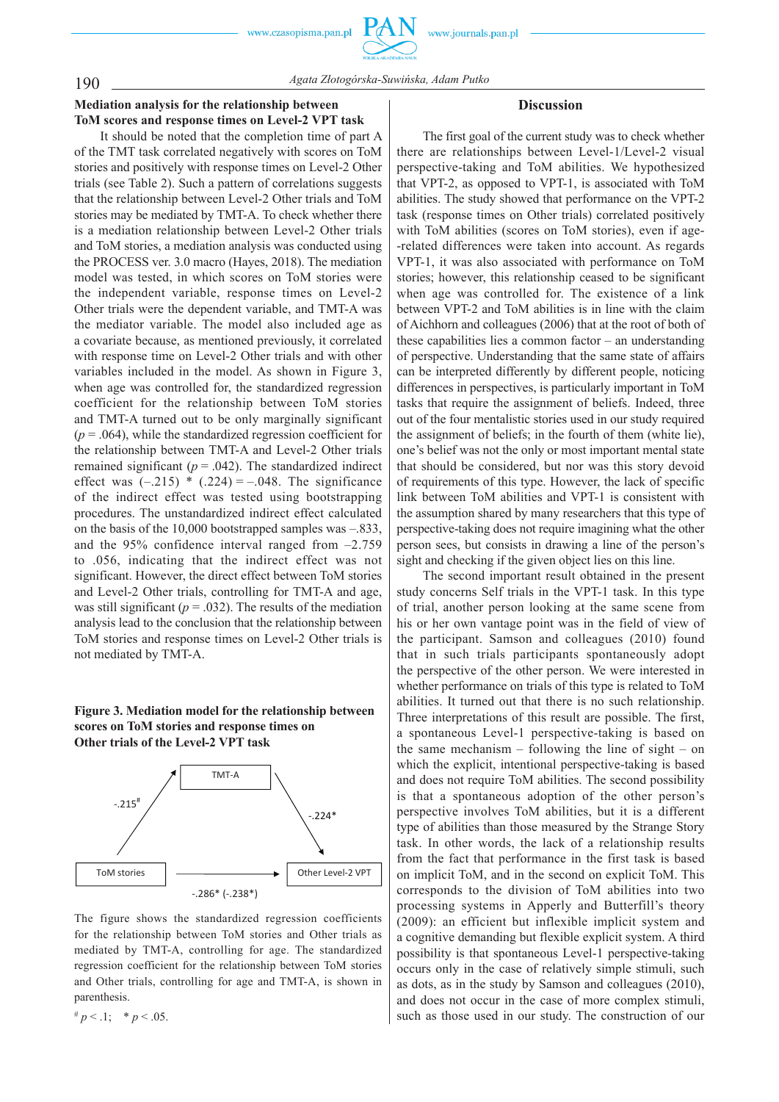## 190 *Agata Złotogórska -Suwińska, Adam Putko*

## **Mediation analysis for the relationship between ToM scores and response times on Level -2 VPT task**

It should be noted that the completion time of part A of the TMT task correlated negatively with scores on ToM stories and positively with response times on Level -2 Other trials (see Table 2). Such a pattern of correlations suggests that the relationship between Level -2 Other trials and ToM stories may be mediated by TMT -A. To check whether there is a mediation relationship between Level-2 Other trials and ToM stories, a mediation analysis was conducted using the PROCESS ver. 3.0 macro (Hayes, 2018). The mediation model was tested, in which scores on ToM stories were the independent variable, response times on Level-2 Other trials were the dependent variable, and TMT -A was the mediator variable. The model also included age as a covariate because, as mentioned previously, it correlated with response time on Level-2 Other trials and with other variables included in the model. As shown in Figure 3, when age was controlled for, the standardized regression coefficient for the relationship between ToM stories and TMT-A turned out to be only marginally significant  $(p = .064)$ , while the standardized regression coefficient for the relationship between TMT-A and Level-2 Other trials remained significant  $(p = .042)$ . The standardized indirect effect was  $(-.215) * (.224) = -.048$ . The significance of the indirect effect was tested using bootstrapping procedures. The unstandardized indirect effect calculated on the basis of the 10,000 bootstrapped samples was –.833, and the 95% confidence interval ranged from –2.759 to .056, indicating that the indirect effect was not significant. However, the direct effect between ToM stories and Level-2 Other trials, controlling for TMT-A and age, was still significant ( $p = .032$ ). The results of the mediation analysis lead to the conclusion that the relationship between ToM stories and response times on Level -2 Other trials is not mediated by TMT-A.

## **Figure 3. Mediation model for the relationship between scores on ToM stories and response times on Other trials of the Level -2 VPT task**



The figure shows the standardized regression coefficients for the relationship between ToM stories and Other trials as mediated by TMT-A, controlling for age. The standardized regression coefficient for the relationship between ToM stories and Other trials, controlling for age and TMT-A, is shown in parenthesis.

 $# p < 0.1;$   $# p < 0.05.$ 

## **Discussion**

The first goal of the current study was to check whether there are relationships between Level-1/Level-2 visual perspective -taking and ToM abilities. We hypothesized that VPT-2, as opposed to VPT-1, is associated with ToM abilities. The study showed that performance on the VPT-2 task (response times on Other trials) correlated positively with ToM abilities (scores on ToM stories), even if age--related differences were taken into account. As regards VPT-1, it was also associated with performance on ToM stories; however, this relationship ceased to be significant when age was controlled for. The existence of a link between VPT-2 and ToM abilities is in line with the claim of Aichhorn and colleagues (2006) that at the root of both of these capabilities lies a common factor – an understanding of perspective. Understanding that the same state of affairs can be interpreted differently by different people, noticing differences in perspectives, is particularly important in ToM tasks that require the assignment of beliefs. Indeed, three out of the four mentalistic stories used in our study required the assignment of beliefs; in the fourth of them (white lie), one's belief was not the only or most important mental state that should be considered, but nor was this story devoid of requirements of this type. However, the lack of specific link between ToM abilities and VPT-1 is consistent with the assumption shared by many researchers that this type of perspective -taking does not require imagining what the other person sees, but consists in drawing a line of the person's sight and checking if the given object lies on this line.

The second important result obtained in the present study concerns Self trials in the VPT-1 task. In this type of trial, another person looking at the same scene from his or her own vantage point was in the field of view of the participant. Samson and colleagues (2010) found that in such trials participants spontaneously adopt the perspective of the other person. We were interested in whether performance on trials of this type is related to ToM abilities. It turned out that there is no such relationship. Three interpretations of this result are possible. The first, a spontaneous Level-1 perspective-taking is based on the same mechanism – following the line of sight – on which the explicit, intentional perspective -taking is based and does not require ToM abilities. The second possibility is that a spontaneous adoption of the other person's perspective involves ToM abilities, but it is a different type of abilities than those measured by the Strange Story task. In other words, the lack of a relationship results from the fact that performance in the first task is based on implicit ToM, and in the second on explicit ToM. This corresponds to the division of ToM abilities into two processing systems in Apperly and Butterfill's theory (2009): an efficient but inflexible implicit system and a cognitive demanding but flexible explicit system. A third possibility is that spontaneous Level -1 perspective -taking occurs only in the case of relatively simple stimuli, such as dots, as in the study by Samson and colleagues (2010), and does not occur in the case of more complex stimuli, such as those used in our study. The construction of our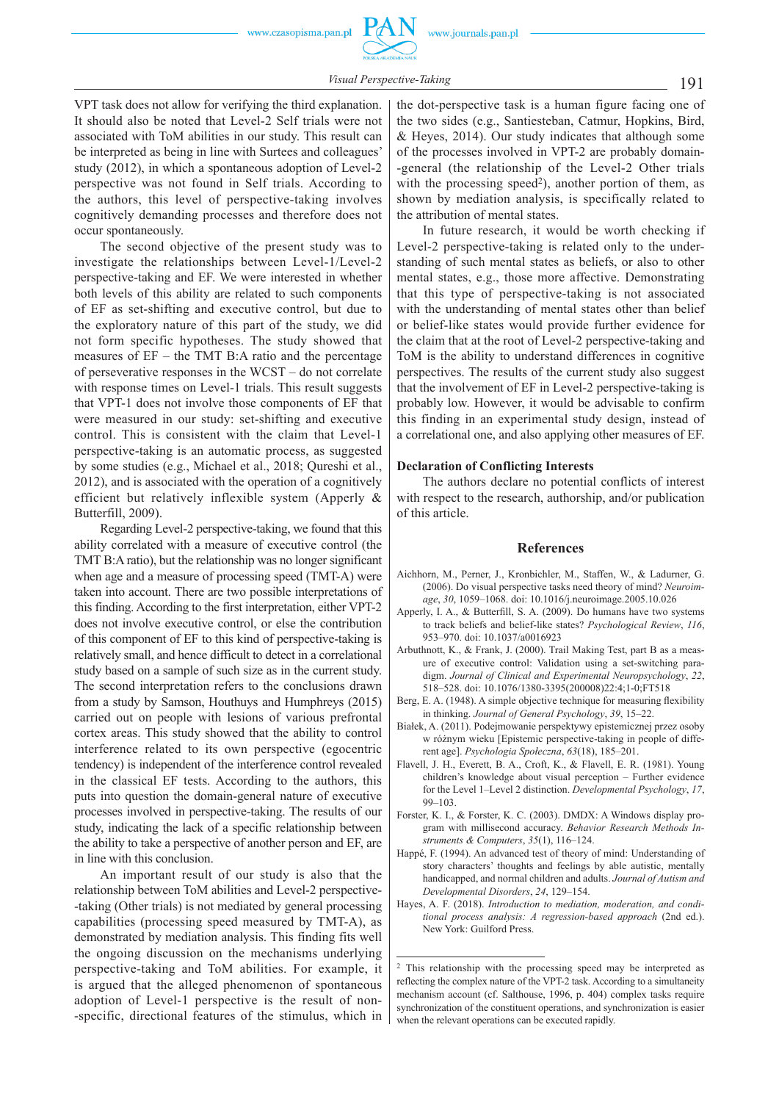191 *Visual Perspective -Taking*

VPT task does not allow for verifying the third explanation. It should also be noted that Level-2 Self trials were not associated with ToM abilities in our study. This result can be interpreted as being in line with Surtees and colleagues' study (2012), in which a spontaneous adoption of Level-2 perspective was not found in Self trials. According to the authors, this level of perspective -taking involves cognitively demanding processes and therefore does not occur spontaneously.

The second objective of the present study was to investigate the relationships between Level-1/Level-2 perspective -taking and EF. We were interested in whether both levels of this ability are related to such components of EF as set -shifting and executive control, but due to the exploratory nature of this part of the study, we did not form specific hypotheses. The study showed that measures of EF – the TMT B:A ratio and the percentage of perseverative responses in the WCST – do not correlate with response times on Level-1 trials. This result suggests that VPT-1 does not involve those components of EF that were measured in our study: set -shifting and executive control. This is consistent with the claim that Level-1 perspective -taking is an automatic process, as suggested by some studies (e.g., Michael et al., 2018; Qureshi et al., 2012), and is associated with the operation of a cognitively efficient but relatively inflexible system (Apperly & Butterfill, 2009).

Regarding Level -2 perspective -taking, we found that this ability correlated with a measure of executive control (the TMT B:A ratio), but the relationship was no longer significant when age and a measure of processing speed (TMT-A) were taken into account. There are two possible interpretations of this finding. According to the first interpretation, either VPT-2 does not involve executive control, or else the contribution of this component of EF to this kind of perspective -taking is relatively small, and hence difficult to detect in a correlational study based on a sample of such size as in the current study. The second interpretation refers to the conclusions drawn from a study by Samson, Houthuys and Humphreys (2015) carried out on people with lesions of various prefrontal cortex areas. This study showed that the ability to control interference related to its own perspective (egocentric tendency) is independent of the interference control revealed in the classical EF tests. According to the authors, this puts into question the domain -general nature of executive processes involved in perspective -taking. The results of our study, indicating the lack of a specific relationship between the ability to take a perspective of another person and EF, are in line with this conclusion.

An important result of our study is also that the relationship between ToM abilities and Level -2 perspective- -taking (Other trials) is not mediated by general processing capabilities (processing speed measured by TMT-A), as demonstrated by mediation analysis. This finding fits well the ongoing discussion on the mechanisms underlying perspective -taking and ToM abilities. For example, it is argued that the alleged phenomenon of spontaneous adoption of Level-1 perspective is the result of non--specific, directional features of the stimulus, which in the dot -perspective task is a human figure facing one of the two sides (e.g., Santiesteban, Catmur, Hopkins, Bird, & Heyes, 2014). Our study indicates that although some of the processes involved in VPT -2 are probably domain- -general (the relationship of the Level-2 Other trials with the processing speed<sup>2</sup>), another portion of them, as shown by mediation analysis, is specifically related to the attribution of mental states.

In future research, it would be worth checking if Level-2 perspective-taking is related only to the understanding of such mental states as beliefs, or also to other mental states, e.g., those more affective. Demonstrating that this type of perspective -taking is not associated with the understanding of mental states other than belief or belief -like states would provide further evidence for the claim that at the root of Level -2 perspective -taking and ToM is the ability to understand differences in cognitive perspectives. The results of the current study also suggest that the involvement of EF in Level -2 perspective -taking is probably low. However, it would be advisable to confirm this finding in an experimental study design, instead of a correlational one, and also applying other measures of EF.

## **Declaration of Conflicting Interests**

The authors declare no potential conflicts of interest with respect to the research, authorship, and/or publication of this article.

### **References**

- Aichhorn, M., Perner, J., Kronbichler, M., Staffen, W., & Ladurner, G. (2006). Do visual perspective tasks need theory of mind? *Neuroimage*, *30*, 1059–1068. doi: 10.1016/j.neuroimage.2005.10.026
- Apperly, I. A., & Butterfill, S. A. (2009). Do humans have two systems to track beliefs and belief -like states? *Psychological Review*, *116*, 953–970. doi: 10.1037/a0016923
- Arbuthnott, K., & Frank, J. (2000). Trail Making Test, part B as a measure of executive control: Validation using a set -switching paradigm. *Journal of Clinical and Experimental Neuropsychology*, *22*, 518–528. doi: 10.1076/1380 -3395(200008)22:4;1 -0;FT518
- Berg, E. A. (1948). A simple objective technique for measuring flexibility in thinking. *Journal of General Psychology*, *39*, 15–22.
- Białek, A. (2011). Podejmowanie perspektywy epistemicznej przez osoby w różnym wieku [Epistemic perspective -taking in people of different age]. *Psychologia Społeczna*, *63*(18), 185–201.
- Flavell, J. H., Everett, B. A., Croft, K., & Flavell, E. R. (1981). Young children's knowledge about visual perception – Further evidence for the Level 1–Level 2 distinction. *Developmental Psychology*, *17*, 99–103.
- Forster, K. I., & Forster, K. C. (2003). DMDX: A Windows display program with millisecond accuracy. *Behavior Research Methods Instruments & Computers*, *35*(1), 116–124.
- Happé, F. (1994). An advanced test of theory of mind: Understanding of story characters' thoughts and feelings by able autistic, mentally handicapped, and normal children and adults. *Journal of Autism and Developmental Disorders*, *24*, 129–154.
- Hayes, A. F. (2018). *Introduction to mediation, moderation, and conditional process analysis: A regression -based approach* (2nd ed.). New York: Guilford Press.

<sup>2</sup> This relationship with the processing speed may be interpreted as reflecting the complex nature of the VPT-2 task. According to a simultaneity mechanism account (cf. Salthouse, 1996, p. 404) complex tasks require synchronization of the constituent operations, and synchronization is easier when the relevant operations can be executed rapidly.